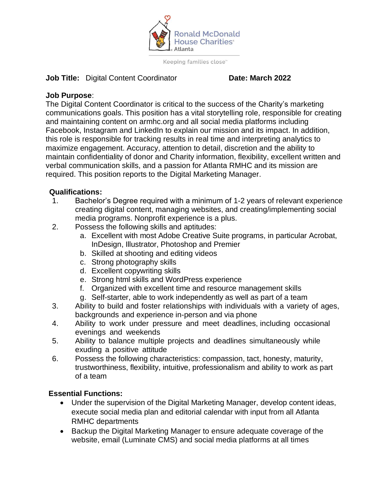

Keeping families close"

#### **Job Title:** Digital Content Coordinator **Date: March 2022**

## **Job Purpose**:

The Digital Content Coordinator is critical to the success of the Charity's marketing communications goals. This position has a vital storytelling role, responsible for creating and maintaining content on armhc.org and all social media platforms including Facebook, Instagram and LinkedIn to explain our mission and its impact. In addition, this role is responsible for tracking results in real time and interpreting analytics to maximize engagement. Accuracy, attention to detail, discretion and the ability to maintain confidentiality of donor and Charity information, flexibility, excellent written and verbal communication skills, and a passion for Atlanta RMHC and its mission are required. This position reports to the Digital Marketing Manager.

## **Qualifications:**

- 1. Bachelor's Degree required with a minimum of 1-2 years of relevant experience creating digital content, managing websites, and creating/implementing social media programs. Nonprofit experience is a plus.
- 2. Possess the following skills and aptitudes:
	- a. Excellent with most Adobe Creative Suite programs, in particular Acrobat, InDesign, Illustrator, Photoshop and Premier
	- b. Skilled at shooting and editing videos
	- c. Strong photography skills
	- d. Excellent copywriting skills
	- e. Strong html skills and WordPress experience
	- f. Organized with excellent time and resource management skills
	- g. Self-starter, able to work independently as well as part of a team
- 3. Ability to build and foster relationships with individuals with a variety of ages, backgrounds and experience in-person and via phone
- 4. Ability to work under pressure and meet deadlines, including occasional evenings and weekends
- 5. Ability to balance multiple projects and deadlines simultaneously while exuding a positive attitude
- 6. Possess the following characteristics: compassion, tact, honesty, maturity, trustworthiness, flexibility, intuitive, professionalism and ability to work as part of a team

# **Essential Functions:**

- Under the supervision of the Digital Marketing Manager, develop content ideas, execute social media plan and editorial calendar with input from all Atlanta RMHC departments
- Backup the Digital Marketing Manager to ensure adequate coverage of the website, email (Luminate CMS) and social media platforms at all times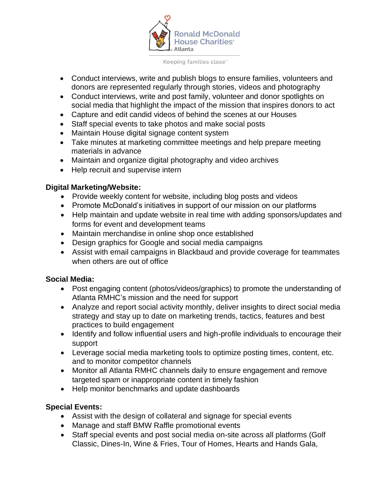

Keeping families close"

- Conduct interviews, write and publish blogs to ensure families, volunteers and donors are represented regularly through stories, videos and photography
- Conduct interviews, write and post family, volunteer and donor spotlights on social media that highlight the impact of the mission that inspires donors to act
- Capture and edit candid videos of behind the scenes at our Houses
- Staff special events to take photos and make social posts
- Maintain House digital signage content system
- Take minutes at marketing committee meetings and help prepare meeting materials in advance
- Maintain and organize digital photography and video archives
- Help recruit and supervise intern

## **Digital Marketing/Website:**

- Provide weekly content for website, including blog posts and videos
- Promote McDonald's initiatives in support of our mission on our platforms
- Help maintain and update website in real time with adding sponsors/updates and forms for event and development teams
- Maintain merchandise in online shop once established
- Design graphics for Google and social media campaigns
- Assist with email campaigns in Blackbaud and provide coverage for teammates when others are out of office

## **Social Media:**

- Post engaging content (photos/videos/graphics) to promote the understanding of Atlanta RMHC's mission and the need for support
- Analyze and report social activity monthly, deliver insights to direct social media strategy and stay up to date on marketing trends, tactics, features and best practices to build engagement
- Identify and follow influential users and high-profile individuals to encourage their support
- Leverage social media marketing tools to optimize posting times, content, etc. and to monitor competitor channels
- Monitor all Atlanta RMHC channels daily to ensure engagement and remove targeted spam or inappropriate content in timely fashion
- Help monitor benchmarks and update dashboards

# **Special Events:**

- Assist with the design of collateral and signage for special events
- Manage and staff BMW Raffle promotional events
- Staff special events and post social media on-site across all platforms (Golf Classic, Dines-In, Wine & Fries, Tour of Homes, Hearts and Hands Gala,